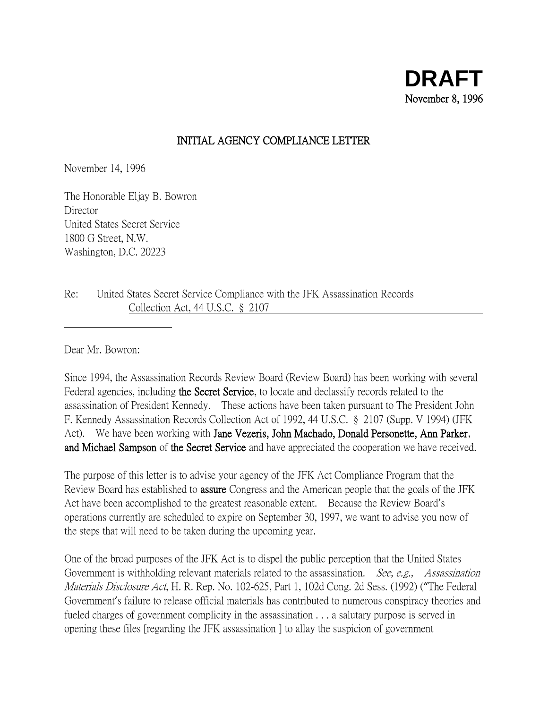## INITIAL AGENCY COMPLIANCE LETTER

November 14, 1996

The Honorable Eljay B. Bowron Director United States Secret Service 1800 G Street, N.W. Washington, D.C. 20223

Re: United States Secret Service Compliance with the JFK Assassination Records Collection Act, 44 U.S.C. § 2107

Dear Mr. Bowron:

Since 1994, the Assassination Records Review Board (Review Board) has been working with several Federal agencies, including the Secret Service, to locate and declassify records related to the assassination of President Kennedy. These actions have been taken pursuant to The President John F. Kennedy Assassination Records Collection Act of 1992, 44 U.S.C. § 2107 (Supp. V 1994) (JFK Act). We have been working with **Jane Vezeris, John Machado, Donald Personette, Ann Parker**, and Michael Sampson of the Secret Service and have appreciated the cooperation we have received.

The purpose of this letter is to advise your agency of the JFK Act Compliance Program that the Review Board has established to assure Congress and the American people that the goals of the JFK Act have been accomplished to the greatest reasonable extent. Because the Review Board's operations currently are scheduled to expire on September 30, 1997, we want to advise you now of the steps that will need to be taken during the upcoming year.

One of the broad purposes of the JFK Act is to dispel the public perception that the United States Government is withholding relevant materials related to the assassination. *See, e.g., Assassination* Materials Disclosure Act, H. R. Rep. No. 102-625, Part 1, 102d Cong. 2d Sess. (1992) ("The Federal Government's failure to release official materials has contributed to numerous conspiracy theories and fueled charges of government complicity in the assassination . . . a salutary purpose is served in opening these files [regarding the JFK assassination ] to allay the suspicion of government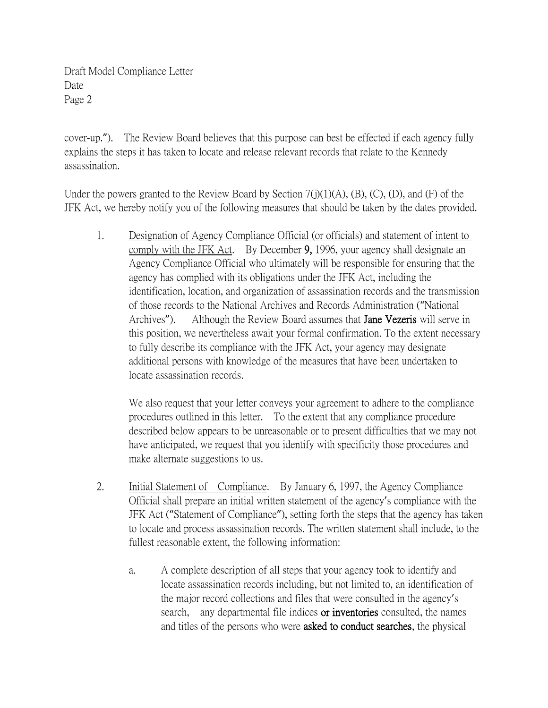cover-up."). The Review Board believes that this purpose can best be effected if each agency fully explains the steps it has taken to locate and release relevant records that relate to the Kennedy assassination.

Under the powers granted to the Review Board by Section  $7(j)(1)(A)$ ,  $(B)$ ,  $(C)$ ,  $(D)$ , and  $(F)$  of the JFK Act, we hereby notify you of the following measures that should be taken by the dates provided.

1. Designation of Agency Compliance Official (or officials) and statement of intent to comply with the JFK Act. By December 9, 1996, your agency shall designate an Agency Compliance Official who ultimately will be responsible for ensuring that the agency has complied with its obligations under the JFK Act, including the identification, location, and organization of assassination records and the transmission of those records to the National Archives and Records Administration ("National Archives"). Although the Review Board assumes that **Jane Vezeris** will serve in this position, we nevertheless await your formal confirmation. To the extent necessary to fully describe its compliance with the JFK Act, your agency may designate additional persons with knowledge of the measures that have been undertaken to locate assassination records.

We also request that your letter conveys your agreement to adhere to the compliance procedures outlined in this letter. To the extent that any compliance procedure described below appears to be unreasonable or to present difficulties that we may not have anticipated, we request that you identify with specificity those procedures and make alternate suggestions to us.

- 2. Initial Statement of Compliance. By January 6, 1997, the Agency Compliance Official shall prepare an initial written statement of the agency's compliance with the JFK Act ("Statement of Compliance"), setting forth the steps that the agency has taken to locate and process assassination records. The written statement shall include, to the fullest reasonable extent, the following information:
	- a. A complete description of all steps that your agency took to identify and locate assassination records including, but not limited to, an identification of the major record collections and files that were consulted in the agency's search, any departmental file indices or inventories consulted, the names and titles of the persons who were asked to conduct searches, the physical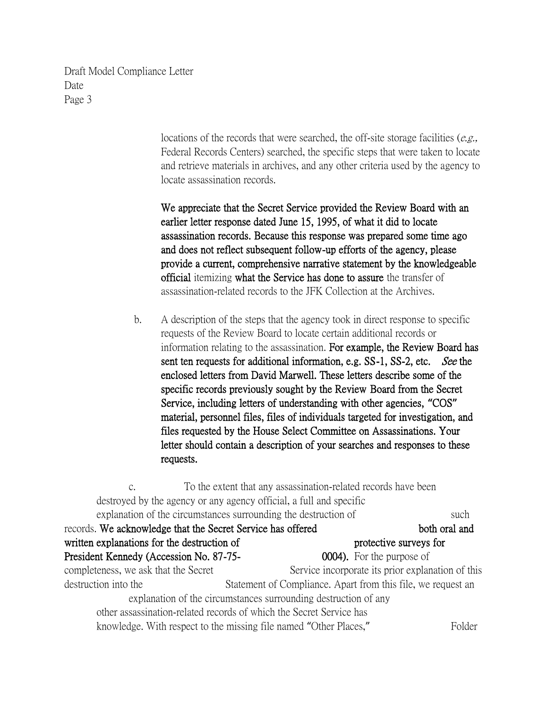> locations of the records that were searched, the off-site storage facilities (e.g., Federal Records Centers) searched, the specific steps that were taken to locate and retrieve materials in archives, and any other criteria used by the agency to locate assassination records.

We appreciate that the Secret Service provided the Review Board with an earlier letter response dated June 15, 1995, of what it did to locate assassination records. Because this response was prepared some time ago and does not reflect subsequent follow-up efforts of the agency, please provide a current, comprehensive narrative statement by the knowledgeable official itemizing what the Service has done to assure the transfer of assassination-related records to the JFK Collection at the Archives.

b. A description of the steps that the agency took in direct response to specific requests of the Review Board to locate certain additional records or information relating to the assassination. For example, the Review Board has sent ten requests for additional information, e.g. SS-1, SS-2, etc. See the enclosed letters from David Marwell. These letters describe some of the specific records previously sought by the Review Board from the Secret Service, including letters of understanding with other agencies, **"**COS**"** material, personnel files, files of individuals targeted for investigation, and files requested by the House Select Committee on Assassinations. Your letter should contain a description of your searches and responses to these requests.

c. To the extent that any assassination-related records have been destroyed by the agency or any agency official, a full and specific explanation of the circumstances surrounding the destruction of such such records. We acknowledge that the Secret Service has offered both oral and both oral and written explanations for the destruction of protective surveys for President Kennedy (Accession No. 87-75- 0004). For the purpose of completeness, we ask that the Secret Service incorporate its prior explanation of this destruction into the Statement of Compliance. Apart from this file, we request an explanation of the circumstances surrounding destruction of any other assassination-related records of which the Secret Service has knowledge. With respect to the missing file named "Other Places," Folder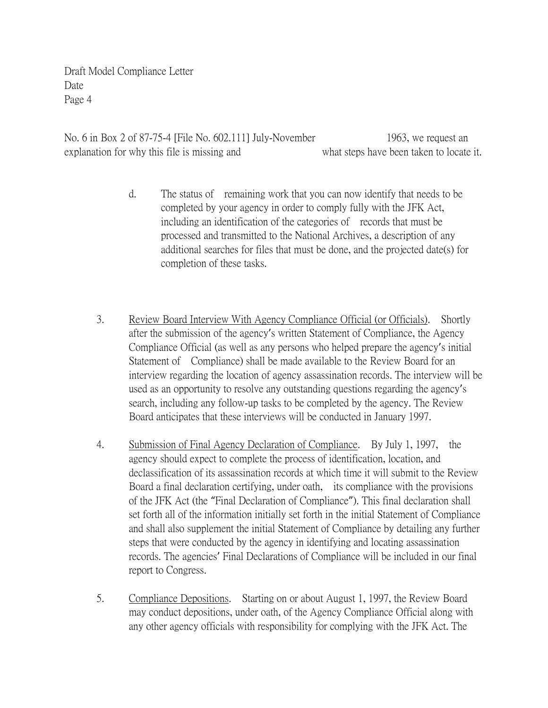No. 6 in Box 2 of 87-75-4 [File No. 602.111] July-November 1963, we request an explanation for why this file is missing and what steps have been taken to locate it.

- d. The status of remaining work that you can now identify that needs to be completed by your agency in order to comply fully with the JFK Act, including an identification of the categories of records that must be processed and transmitted to the National Archives, a description of any additional searches for files that must be done, and the projected date(s) for completion of these tasks.
- 3. Review Board Interview With Agency Compliance Official (or Officials). Shortly after the submission of the agency's written Statement of Compliance, the Agency Compliance Official (as well as any persons who helped prepare the agency's initial Statement of Compliance) shall be made available to the Review Board for an interview regarding the location of agency assassination records. The interview will be used as an opportunity to resolve any outstanding questions regarding the agency's search, including any follow-up tasks to be completed by the agency. The Review Board anticipates that these interviews will be conducted in January 1997.
- 4. Submission of Final Agency Declaration of Compliance. By July 1, 1997, the agency should expect to complete the process of identification, location, and declassification of its assassination records at which time it will submit to the Review Board a final declaration certifying, under oath, its compliance with the provisions of the JFK Act (the "Final Declaration of Compliance"). This final declaration shall set forth all of the information initially set forth in the initial Statement of Compliance and shall also supplement the initial Statement of Compliance by detailing any further steps that were conducted by the agency in identifying and locating assassination records. The agencies' Final Declarations of Compliance will be included in our final report to Congress.
- 5. Compliance Depositions. Starting on or about August 1, 1997, the Review Board may conduct depositions, under oath, of the Agency Compliance Official along with any other agency officials with responsibility for complying with the JFK Act. The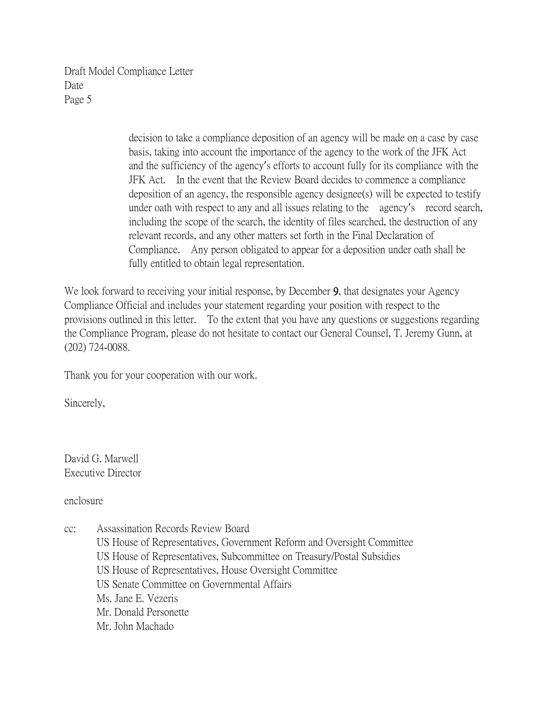> decision to take a compliance deposition of an agency will be made on a case by case basis, taking into account the importance of the agency to the work of the JFK Act and the sufficiency of the agency's efforts to account fully for its compliance with the JFK Act. In the event that the Review Board decides to commence a compliance deposition of an agency, the responsible agency designee(s) will be expected to testify under oath with respect to any and all issues relating to the agency's record search, including the scope of the search, the identity of files searched, the destruction of any relevant records, and any other matters set forth in the Final Declaration of Compliance. Any person obligated to appear for a deposition under oath shall be fully entitled to obtain legal representation.

We look forward to receiving your initial response, by December 9, that designates your Agency Compliance Official and includes your statement regarding your position with respect to the provisions outlined in this letter. To the extent that you have any questions or suggestions regarding the Compliance Program, please do not hesitate to contact our General Counsel, T. Jeremy Gunn, at (202) 724-0088.

Thank you for your cooperation with our work.

Sincerely,

David G. Marwell Executive Director

enclosure

- cc: Assassination Records Review Board
	- US House of Representatives, Government Reform and Oversight Committee US House of Representatives, Subcommittee on Treasury/Postal Subsidies US House of Representatives, House Oversight Committee US Senate Committee on Governmental Affairs Ms. Jane E. Vezeris Mr. Donald Personette Mr. John Machado